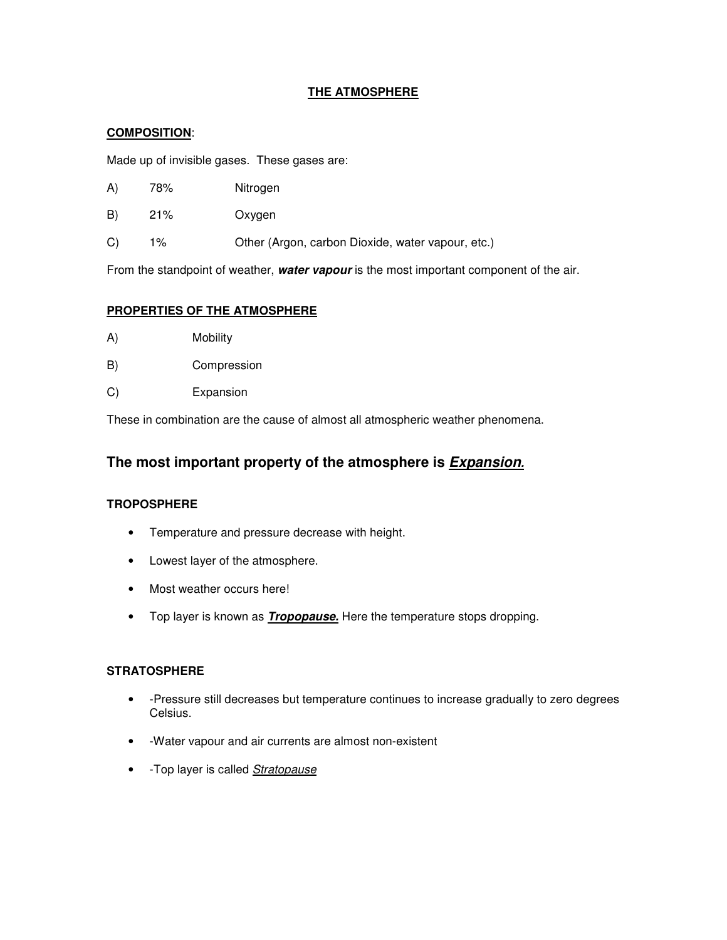## **THE ATMOSPHERE**

## **COMPOSITION**:

Made up of invisible gases. These gases are:

- A) 78% Nitrogen
- B) 21% Oxygen
- C) 1% Other (Argon, carbon Dioxide, water vapour, etc.)

From the standpoint of weather, **water vapour** is the most important component of the air.

## **PROPERTIES OF THE ATMOSPHERE**

- A) Mobility
- B) Compression
- C) Expansion

These in combination are the cause of almost all atmospheric weather phenomena.

# **The most important property of the atmosphere is Expansion.**

## **TROPOSPHERE**

- Temperature and pressure decrease with height.
- Lowest layer of the atmosphere.
- Most weather occurs here!
- Top layer is known as **Tropopause.** Here the temperature stops dropping.

#### **STRATOSPHERE**

- -Pressure still decreases but temperature continues to increase gradually to zero degrees Celsius.
- -Water vapour and air currents are almost non-existent
- -Top layer is called **Stratopause**